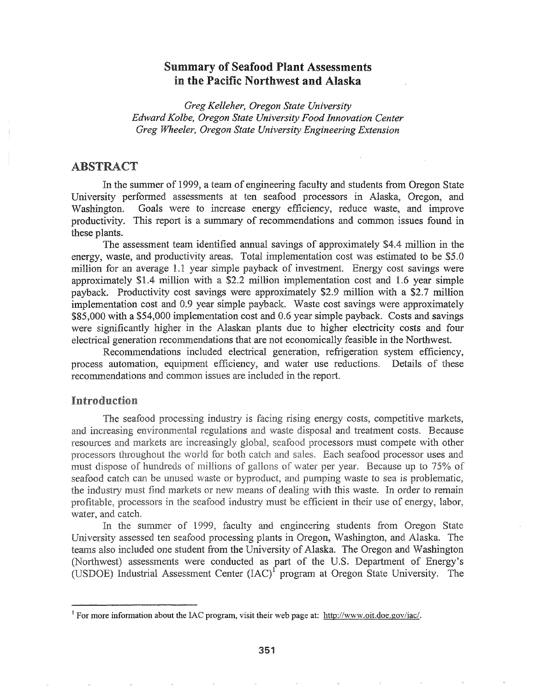# Summary of Seafood Plant Assessments in the Pacific Northwest and Alaska

*Greg Kelleher, Oregon State University Edward Kolbe, Oregon State University Food Innovation Center Greg Wheeler, Oregon State University Engineering Extension*

## ABSTRACT

In the summer of 1999, a team of engineering faculty and students from Oregon State University performed assessments at ten seafood processors in Alaska, Oregon, and Washington. Goals were to increase energy efficiency, reduce waste, and improve productivity. This report is a summary of recommendations and common issues found in these plants.

The assessment team identified annual savings of approximately \$4.4 million in the energy, waste, and productivity areas. Total implementation cost was estimated to be \$5.0 million for an average 1.1 year simple payback of investment. Energy cost savings were approximately \$1.4 with a \$2.2 million implementation cost and 1.6 year simple payback. Productivity cost savings were approximately \$2.9 million with a \$2.7 million implementation cost and 0.9 year simple payback. Waste cost savings were approximately \$85,000 with a \$54,000 implementation cost and 0.6 year simple payback. Costs and savings were significantly higher in the Alaskan plants due to higher electricity costs and four electrical generation recommendations that are not economically feasible in the Northwest.

Recommendations included electrical generation, refrigeration system efficiency, process automation, equipment efficiency, and water use reductions. Details of these recommendations and common issues are included in the report.

## **Introduction**

The seafood processing industry is facing rising energy costs, competitive markets, and increasing environmental regulations and waste disposal and treatment costs. Because resources and markets are increasingly global, seafood processors must compete with other processors throughout the world for both catch and sales. Each seafood processor uses and must dispose of hundreds of millions of gallons of water per year. Because up to 75% of seafood catch can be unused waste or byproduct, and pumping waste to sea is problematic, the industry must find markets or new means of dealing with this waste. In order to remain profitable, processors in the seafood industry must be efficient in their use of energy, labor, water, and catch.

summer of 1999, faculty and engineering students Iniversity assessed ten seafood processing plants in Oregon, Washington, and Alaska. The included one student from the University of Alaska. The Oregon and Washington assessments were conducted as part of the U.S. Department of Energy's (USDOE) Industrial Assessment Center (IAC)<sup>1</sup> program at Oregon State University. The

<sup>&</sup>lt;sup>1</sup> For more information about the IAC program, visit their web page at: http://www.oit.doe.gov/iac/.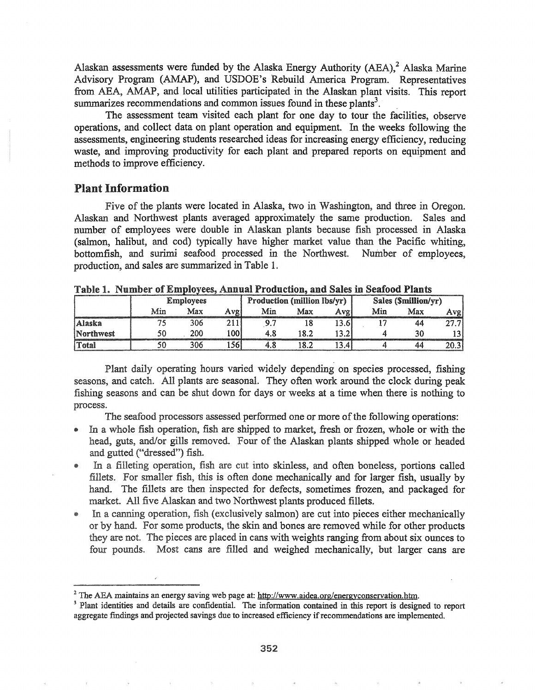Alaskan assessments were funded by the Alaska Energy Authority (AEA), $^2$  Alaska Marine Advisory Program (AMAP), and USDOE's Rebuild America Program. Representatives from ABA, AMAP, and local utilities participated in the Alaskan plant visits. This report summarizes recommendations and common issues found in these plants<sup>3</sup>.

The assessment team visited each plant for one day to tour the facilities, observe operations, and collect data on plant operation and equipment. In the weeks following the assessments, engineering students researched ideas for increasing energy efficiency, reducing waste, and improving productivity for each plant and prepared reports on equipment and methods to improve efficiency.

## Plant Information

Five of the plants were located in Alaska, two in Washington, and three in Oregon. Alaskan and Northwest plants averaged approximately the same production. Sales and number of employees were double in Alaskan plants because fish processed in Alaska (salmon, halibut, and cod) typically have higher market value than the Pacific whiting, bottomfish, and surimi seafood processed in the Northwest. Number of employees, production, and sales are summarized in Table 1.

|           | <b>Employees</b> |     |        |     | Production (million lbs/yr) |       | Sales (Smillion/yr) |     |      |  |
|-----------|------------------|-----|--------|-----|-----------------------------|-------|---------------------|-----|------|--|
|           | Min              | Max | Avgi   | Min | Max                         | Avgl  | Min                 | Max | Avgl |  |
| Alaska    |                  | 306 |        |     |                             | 13.61 |                     | 44  | n.,  |  |
| Northwest |                  | 200 | l 00 l |     | 18.2                        | 13.2  |                     |     |      |  |
| Total     |                  | 306 | .561   |     | 18.2                        | 3.4   |                     | 44  | 20.3 |  |

Table 1. Number of Employees, Annual Production, and Sales in Seafood Plants

Plant daily operating hours varied widely depending on species processed, fishing seasons, and catch. All plants are seasonal. They often work around the clock during peak fishing seasons and can be shut down for days or weeks at a time when there is nothing to process.

The seafood processors assessed performed one or more of the following operations:

- In a whole fish operation, fish are shipped to market, fresh or frozen, whole or with the head, guts, and/or gills removed. Four of the Alaskan plants shipped whole or headed and gutted ("dressed") fish.
- @ a operation, fish are cut into skinless, and often boneless, portions called fillets. For smaller fish, this is often done mechanically and for larger fish, usually by hand. The fillets are then inspected for defects, sometimes frozen, and packaged for market. All five Alaskan and two Northwest plants produced fillets.
- In a canning operation, fish (exclusively salmon) are cut into pieces either mechanically or by hand. For some products, the skin and bones are removed while for other products they are not. The pieces are placed in cans with weights ranging from about six ounces to four pounds. Most cans are filled and weighed mechanically, but larger cans are

<sup>&</sup>lt;sup>2</sup> The AEA maintains an energy saving web page at: http://www.aidea.org/energyconservation.htm.

<sup>&</sup>lt;sup>3</sup> Plant identities and details are confidential. The information contained in this report is designed to report aggregate findings and projected savings due to increased efficiency if recommendations are implemented.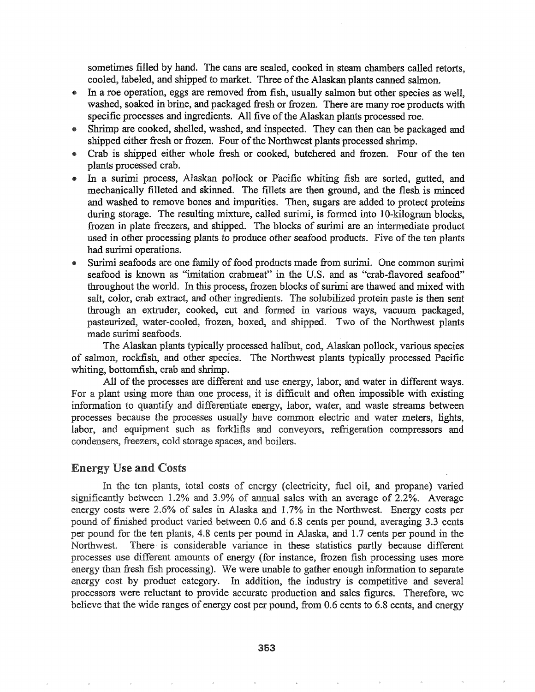sometimes filled by hand. The cans are sealed, cooked in steam chambers called retorts, cooled, labeled, and shipped to market. Three of the Alaskan plants canned salmon.

- @ In a roe operation, eggs are removed from fish, usually salmon but other species as well, washed, soaked in brine, and packaged fresh or frozen. There are many roe products with specific processes and ingredients. All five of the Alaskan plants processed roe.
- Shrimp are cooked, shelled, washed, and inspected. They can then can be packaged and shipped either fresh or frozen. Four of the Northwest plants processed shrimp.
- Crab is shipped either whole fresh or cooked, butchered and frozen. Four of the ten plants processed crab.
- In a surimi process, Alaskan pollock or Pacific whiting fish are sorted, gutted, and mechanically filleted and skinned. The fillets are then ground, and the flesh is minced and washed to remove bones and impurities. Then, sugars are added to protect proteins during storage. The resulting mixture, called surimi, is formed into 10-kilogram blocks, frozen in plate freezers, and shipped. The blocks of surimi are an intermediate product used in other processing plants to produce other seafood products. Five of the ten plants had surimi operations.
- Surimi seafoods are one family of food products made from surimi. One common surimi seafood is known as "imitation crabmeat" in the U.S. and as "crab-flavored seafood" throughout the world. In this process, frozen blocks of surimi are thawed and mixed with salt, color, crab extract, and other ingredients. The solubilized protein paste is then sent through an extruder, cooked, cut and formed in various ways, vacuum packaged, pasteurized, water-cooled, frozen, boxed, and shipped. Two of the Northwest plants made surimi seafoods.

The Alaskan plants typically processed halibut, cod, Alaskan pollock, various species of salmon, rockfish, and other species. The Northwest plants typically processed Pacific whiting, bottomfish, crab and shrimp.

All of the processes are different and use energy, labor, and water in different ways. For a plant using more than one process, it is difficult and often impossible with existing information to quantify and differentiate energy, labor, water, and waste streams between processes because the processes usually have common electric and water meters, lights, labor, and equipment such as forklifts and conveyors, refrigeration compressors and condensers, freezers, cold storage spaces, and boilers.

## **Energy Use and Costs**

In the ten plants, total costs of energy (electricity, fuel oil, and propane) varied significantly between  $1.2\%$  and  $3.9\%$  of annual sales with an average of 2.2%. Average energy costs were 2.6% of sales in Alaska and 1.7% in the Northwest. Energy costs per pound of finished product varied between 0.6 and 6.8 cents per pound, averaging 3.3 cents per pound for the ten plants, 4.8 cents per pound in Alaska, and 1.7 cents per pound in the Northwest. There is considerable variance in these statistics partly because different processes use different amounts of energy (for instance, frozen fish processing uses more energy than fresh fish processing). We were unable to gather enough information to separate energy cost by product category. In addition, the industry is competitive and several processors were reluctant to provide accurate production and sales figures.. Therefore, we believe that the wide ranges of energy cost per pound, from 0.6 cents to 6.8 cents, and energy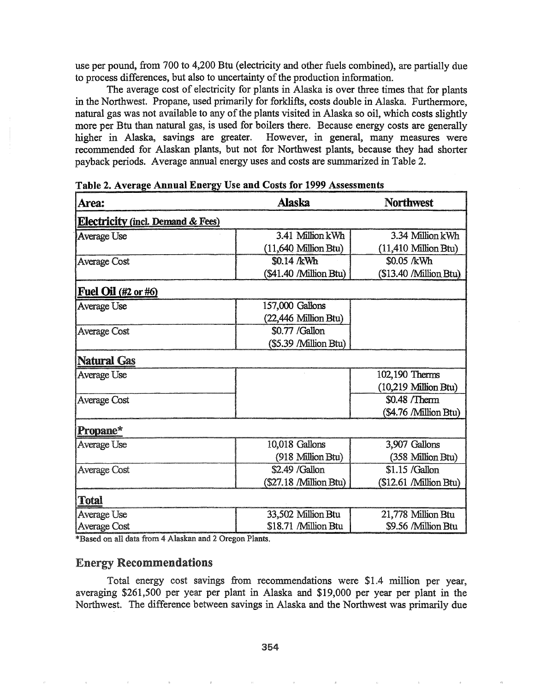use per pound, from 700 to 4,200 Btu (electricity and other fuels combined), are partially due to process differences, but also to uncertainty of the production information.

The average cost of electricity for plants in Alaska is over three times that for plants in the Northwest. Propane, used primarily for forklifts, costs double in Alaska. Furthermore, natural gas was not available to any of the plants visited in Alaska so oil, which costs slightly more per Btu than natural gas, is used for boilers there. Because energy costs are generally higher in Alaska, savings are greater. However, in general, many measures were recommended for Alaskan plants, but not for Northwest plants, because they had shorter payback periods. Average annual energy uses and costs are summarized in Table 2.

| Area:                                        | Alaska                 | <b>Northwest</b>       |
|----------------------------------------------|------------------------|------------------------|
| <b>Electricity (incl. Demand &amp; Fees)</b> |                        |                        |
| Average Use                                  | 3.41 Million kWh       | 3.34 Million kWh       |
|                                              | (11,640 Million Btu)   | (11,410 Million Btu)   |
| Average Cost                                 | \$0.14 /kWh            | \$0.05 /kWh            |
|                                              | (\$41.40 /Million Btu) | (\$13.40 /Million Btu) |
| Fuel Oil (#2 or #6)                          |                        |                        |
| Average Use                                  | 157,000 Gallons        |                        |
|                                              | (22,446 Million Btu)   |                        |
| <b>Average Cost</b>                          | \$0.77 /Gallon         |                        |
|                                              | (\$5.39 /Million Btu)  |                        |
| Natural Gas                                  |                        |                        |
| Average Use                                  |                        | 102,190 Therms         |
|                                              |                        | (10,219 Million Btu)   |
| <b>Average Cost</b>                          |                        | \$0.48 /Therm          |
|                                              |                        | (\$4.76 /Million Btu)  |
| Propane*                                     |                        |                        |
| Average Use                                  | 10,018 Gallons         | 3,907 Gallons          |
|                                              | (918 Million Btu)      | (358 Million Btu)      |
| <b>Average Cost</b>                          | \$2.49 / Gallon        | \$1.15 / Gallon        |
|                                              | (\$27.18 /Million Btu) | (\$12.61 /Million Btu) |
| Total                                        |                        |                        |
| Average Use                                  | 33,502 Million Btu     | 21,778 Million Btu     |
| Average Cost                                 | \$18.71 /Million Btu   | \$9.56 /Million Btu    |

Table 2. Average Annual Energy Use and Costs for 1999 Assessments

\*Based on all data from 4 Alaskan and 2 Oregon Plants.

## Energy Recommendations

Total energy cost savings from recommendations were \$1.4 million per year, averaging \$261,500 per year per plant in Alaska and \$19,000 per year per plant in the Northwest. The difference between savings in Alaska and the Northwest was primarily due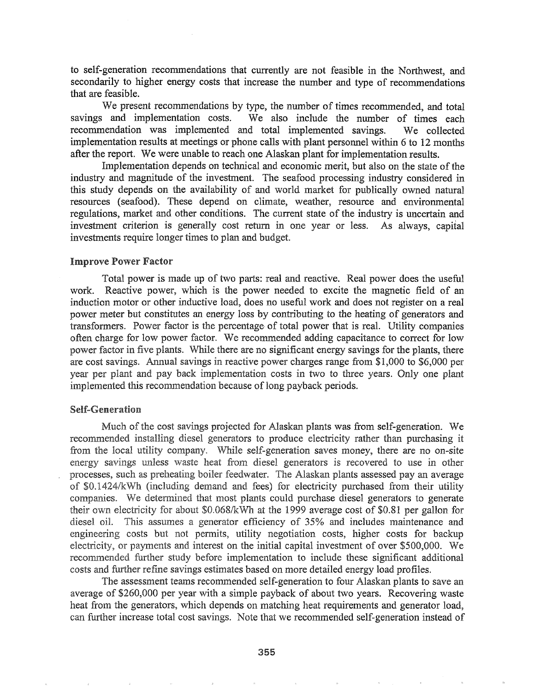to self-generation recommendations that currently are not feasible in the Northwest, and secondarily to higher energy costs that increase the number and type of recommendations that are feasible.

We present recommendations by type, the number of times recommended, and total savings and implementation costs. We also include the number of times each We also include the number of times each recommendation was implemented and total implemented savings. We collected implementation results at meetings or phone calls with plant personnel within 6 to 12 months after the report. We were unable to reach one Alaskan plant for implementation results.

Implementation depends on technical and economic merit, but also on the state of the industry and magnitude of the investment. The seafood processing industry considered in this study depends on the availability of and world market for publically owned natural resources (seafood). These depend on climate, weather, resource and environmental regulations, market and other conditions. The current state of the industry is uncertain and investment criterion is generally cost return in one year or less. As always, capital investments require longer times to plan and budget.

#### Improve Power

Total power is made up of two parts: real and reactive. Real power does the useful work. Reactive power, which is the power needed to excite the magnetic field of an induction motor or other inductive load, does no useful work and does not register on a real power meter but constitutes an energy loss by contributing to the heating of generators and transformers. Power factor is the percentage of total power that is real. Utility companies often charge for low power factor. We recommended adding capacitance to correct for low power factor in five plants. While there are no significant energy savings for the plants, there are cost savings. Annual savings in reactive power charges range from \$1,000 to \$6,000 per year per plant and pay back implementation costs in two to three years. Only one plant implemented this recommendation because of long payback periods.

### **Self-Generation**

Much of the cost savings projected for Alaskan plants was from self-generation. We recommended installing diesel generators to produce electricity rather than purchasing it from the local utility company. While self-generation saves money, there are no on-site energy savings unless waste heat from diesel generators is recovered to use in other processes, such as preheating boiler feedwater. The Alaskan plants assessed pay an average of \$0.1424/kWh (including demand and fees) for electricity purchased from their utility companies. We determined that most plants could purchase diesel generators to generate their own electricity for about  $$0.068/kWh$  at the 1999 average cost of  $$0.81$  per gallon for diesel oil. This assumes a generator efficiency of 35% and includes maintenance and engineering costs but not permits, utility negotiation costs, higher costs for backup electricity, or payments and interest on the initial capital investment of over \$500,000. We recommended further study before implementation to include these significant additional costs and further refine savings estimates based on more detailed energy load profiles.

The assessment teams recommended self-generation to four Alaskan plants to save an average of \$260,000 per year with a simple payback of about two years. Recovering waste heat from the generators, which depends on matching heat requirements and generator load, can further increase total cost savings. Note that we recommended self-generation instead of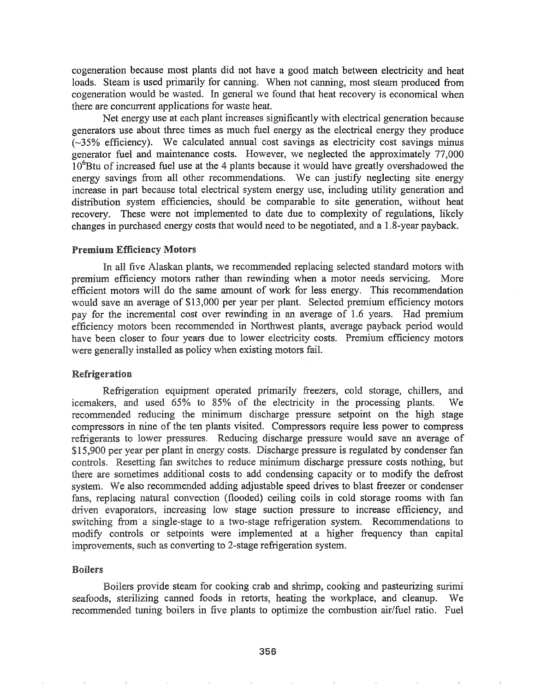cogeneration because most plants did not have a good match between electricity and heat loads. Steam is used primarily for canning. When not canning, most steam produced from cogeneration would be wasted. In general we found that heat recovery is economical when there are concurrent applications for waste heat.

Net energy use at each plant increases significantly with electrical generation because generators use about three times as much fuel energy as the electrical energy they produce  $(-35%$  efficiency). We calculated annual cost savings as electricity cost savings minus generator fuel and maintenance costs. However, we neglected the approximately 77,000 10<sup>6</sup>Btu of increased fuel use at the 4 plants because it would have greatly overshadowed the energy savings from all other recommendations. We can justify neglecting site energy increase in part because total electrical system energy use, including utility generation and distribution system efficiencies, should be comparable to site generation, without heat recovery. These were not implemented to date due to complexity of regulations, likely changes in purchased energy costs that would need to be negotiated, and a 1.8-year payback.

#### Premium Efficiency Motors

In all five Alaskan plants, we recommended replacing selected standard motors with premium efficiency motors rather than rewinding when a motor needs servicing.. More efficient motors will do the same amount of work for less energy. This recommendation would save an average of \$13,000 per year per plant.. Selected premium efficiency motors pay for the incremental cost over rewinding in an average of 1.6 years. Had premium efficiency motors been recommended in Northwest plants, average payback period would have been closer to four years due to lower electricity costs.. Premium efficiency motors were generally installed as policy when existing motors faiL

#### Refrigeration

Refrigeration equipment operated primarily freezers, cold storage, chillers, and icemakers, and used 65% to 85% of the electricity in the processing plants. We recommended reducing the minimum discharge pressure setpoint on the high stage compressors in nine of the ten plants visited. Compressors require less power to compress refrigerants to lower pressures.. Reducing discharge pressure would save an average of \$15,900 per year per plant in energy costs. Discharge pressure is regulated by condenser fan controls.. Resetting fan switches to reduce minimum discharge pressure costs nothing, but there are sometimes additional costs to add condensing capacity or to modify the defrost system. We also recommended adding adjustable speed drives to blast freezer or condenser fans, replacing natural convection (flooded) ceiling coils in cold storage rooms with fan driven evaporators, increasing low stage suction pressure to increase efficiency, and switching from a single-stage to a two-stage refrigeration system. Recommendations to modify controls or setpoints were implemented at a higher frequency than capital improvements, such as converting to 2-stage refrigeration system..

### **Boilers**

Boilers provide steam for cooking crab and shrimp, cooking and pasteurizing surimi seafoods, sterilizing canned foods in retorts, heating the workplace, and cleanup. We recommended tuning boilers in five plants to optimize the combustion air/fuel ratio.. Fuel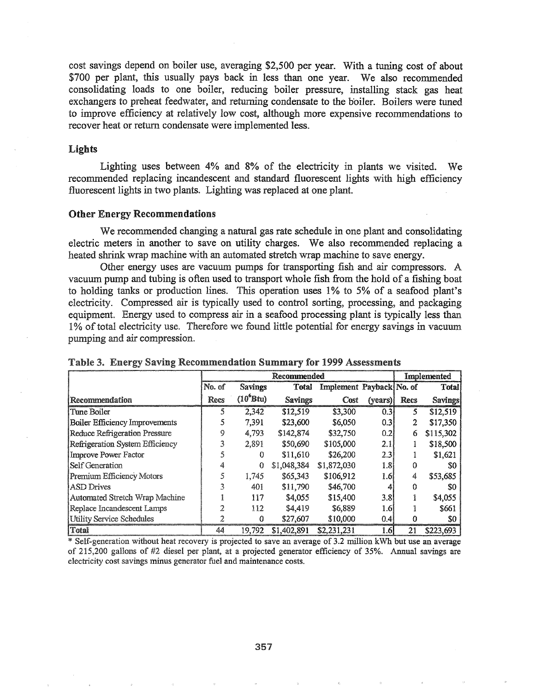cost savings depend on boiler use, averaging \$2,500 per year. With a tuning cost of about \$700 per plant, this usually pays back in less than one year. We also recommended consolidating loads to one boiler, reducing boiler pressure, installing stack gas heat exchangers to preheat feedwater, and returning condensate to the boiler. Boilers were tuned to improve efficiency at relatively low cost, although more expensive recommendations to recover heat or return condensate were implemented less.

#### Lights

Lighting uses between 4% and 8% of the electricity in plants we visited. We recommended replacing incandescent and standard fluorescent lights with high efficiency fluorescent lights in two plants. Lighting was replaced at one plant.

#### Other Energy Recommendations

We recommended changing a natural gas rate schedule in one plant and consolidating electric meters in another to save on utility charges.. We also recommended replacing a heated shrink wrap machine with an automated stretch wrap machine to save energy..

Other energy uses are vacuum pumps for transporting fish and air compressors. A vacuum pump and tubing is often used to transport whole fish from the hold of a fishing boat to holding tanks or production lines. This operation uses 1% to 5% of a seafood plant's electricity.. Compressed air is typically used to control sorting, processing, and packaging equipment. Energy used to compress air in a seafood processing plant is typically less than 1% of total electricity use. Therefore we found little potential for energy savings in vacuum pumping and air compression.

|                                       |        | Recommended    |                |                          |                  |      |                |  |
|---------------------------------------|--------|----------------|----------------|--------------------------|------------------|------|----------------|--|
|                                       | No. of | <b>Savings</b> | <b>Total</b>   | Implement Payback No. of |                  |      | Total          |  |
| Recommendation                        | Recs   | $(10^6$ Btu)   | <b>Savings</b> | Cost                     | (years)          | Recs | <b>Savings</b> |  |
| Tune Boiler                           |        | 2.342          | \$12,519       | \$3,300                  | 0.31             | 5.   | \$12,519       |  |
| <b>Boiler Efficiency Improvements</b> |        | 7,391          | \$23,600       | \$6,050                  | 0.3              | 2    | \$17,350       |  |
| Reduce Refrigeration Pressure         | 9      | 4,793          | \$142,874      | \$32,750                 | 0.2              | 6    | \$115,302      |  |
| Refrigeration System Efficiency       |        | 2,891          | \$50,690       | \$105,000                | 2.1              |      | \$18,500       |  |
| <b>Improve Power Factor</b>           |        | ∩              | \$11,610       | \$26,200                 | 2.3              |      | \$1,621        |  |
| Self Generation                       |        | 0              | \$1,048,384    | \$1,872,030              | 1.8 <sub>1</sub> |      | SO             |  |
| Premium Efficiency Motors             |        | 1,745          | \$65,343       | \$106,912                | 1.6              | 4    | \$53,685       |  |
| <b>ASD</b> Drives                     |        | 401            | \$11,790       | \$46,700                 |                  |      | \$0            |  |
| Automated Stretch Wrap Machine        |        | 117            | \$4,055        | \$15,400                 | 3.8              |      | \$4,055        |  |
| Replace Incandescent Lamps            |        | 112            | \$4,419        | \$6,889                  | 1.6              |      | \$661          |  |
| Utility Service Schedules             |        | ∩              | \$27,607       | \$10,000                 | 0.4              |      | S0             |  |
| Total                                 | 44     | 19,792         | \$1,402,891    | \$2,231,231              | 1.6              | 21   | \$223,693      |  |

|  |  |  | Table 3. Energy Saving Recommendation Summary for 1999 Assessments |  |  |  |  |
|--|--|--|--------------------------------------------------------------------|--|--|--|--|
|--|--|--|--------------------------------------------------------------------|--|--|--|--|

\* Self-generation without heat recovery is projected to save an average of 3.2 million kWh but use an average of 215,200 gallons of #2 diesel per plant, at a projected generator efficiency of 35%. Annual savings are electricity cost savings minus generator fuel and maintenance costs.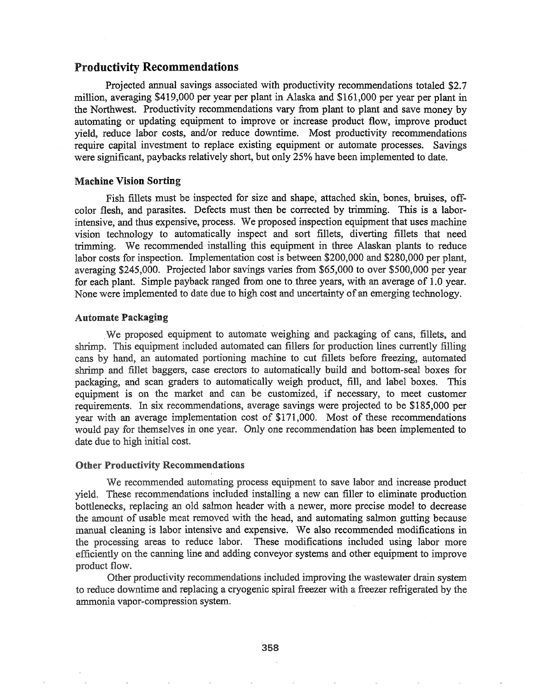## Productivity Recommendations

Projected annual savings associated with productivity recommendations totaled \$2.7 million, averaging \$419,000 per year per plant in Alaska and \$161,000 per year per plant in the Northwest. Productivity recommendations vary from plant to plant and save money by automating or updating equipment to improve or increase product flow, improve product yield, reduce labor costs, and/or reduce downtime. Most productivity recommendations require capital investment to replace existing equipment or automate processes. Savings were significant, paybacks relatively short, but only 25% have been implemented to date.

#### Machine Vision Sorting

Fish fillets must be inspected for size and shape, attached skin, bones, bruises, offcolor flesh, and parasites. Defects must then be corrected by trimming. This is a laborintensive, and thus expensive, process. We proposed inspection equipment that uses machine vision technology to automatically inspect and sort fillets, diverting fillets that need trimming. We recommended installing this equipment in three Alaskan plants to reduce labor costs for inspection. Implementation cost is between \$200,000 and \$280,000 per plant, averaging \$245,000. Projected labor savings varies from \$65,000 to over \$500,000 per year for each plant. Simple payback ranged from one to three years, with an average of 1.0 year. None were implemented to date due to high cost and uncertainty of an emerging technology.

#### Automate Packaging

We proposed equipment to automate weighing and packaging of cans, fillets, and shrimp. This equipment included automated can fillers for production lines currently filling cans by hand, an automated portioning machine to cut fillets before freezing, automated shrimp and fillet baggers, case erectors to automatically build and bottom-seal boxes for packaging, and scan graders to automatically weigh product, fill, and label boxes. This equipment is on the market and can be customized, if necessary, to meet customer requirements. In six recommendations, average savings were projected to be \$185,000 per year with an average implementation cost of \$171,000. Most of these recommendations would pay for themselves in one year. Only one recommendation has been implemented to date due to high initial cost.

#### **Other Productivity Recommendations**

We recommended automating process equipment to save labor and increase product yield. These recommendations included installing a new can filler to eliminate production bottlenecks, replacing an old salmon header with a newer, more precise model to decrease the amount of usable meat removed with the head, and automating salmon gutting because manual cleaning is labor intensive and expensive. We also recommended modifications in processing areas to reduce labor. These modifications included using labor more efficiently on the canning line and adding conveyor systems and other equipment to improve product flow.

Other productivity recommendations included improving the wastewater drain system to reduce downtime and replacing a cryogenic spiral freezer with a freezer refrigerated by the ammonia vapor-compression system.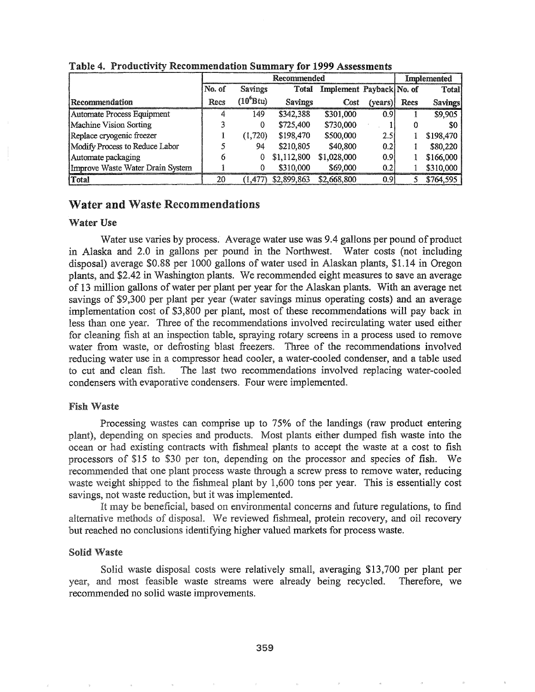|                                  |        |                       |                | Implemented              |                  |      |                |
|----------------------------------|--------|-----------------------|----------------|--------------------------|------------------|------|----------------|
|                                  | No. of | <b>Savings</b>        | Total          | Implement Payback No. of |                  |      | <b>Total</b>   |
| Recommendation                   | Recs   | (10 <sup>6</sup> Btu) | <b>Savings</b> | Cost                     | (years)          | Recs | <b>Savings</b> |
| Automate Process Equipment       |        | 149                   | \$342,388      | \$301,000                | 0.91             |      | \$9,905        |
| Machine Vision Sorting           |        | 0                     | \$725,400      | \$730,000                |                  |      | \$0            |
| Replace cryogenic freezer        |        | (1,720)               | \$198,470      | \$500,000                | 2.51             |      | \$198,470      |
| Modify Process to Reduce Labor   |        | 94                    | \$210,805      | \$40,800                 | 0.21             |      | \$80,220       |
| Automate packaging               |        |                       | \$1,112,800    | \$1,028,000              | 0.9 <sub>l</sub> |      | \$166,000      |
| Improve Waste Water Drain System |        | 0                     | \$310,000      | \$69,000                 | 0.2              |      | \$310,000      |
| <b>Total</b>                     | 20     | (1, 477)              | \$2,899,863    | \$2,668,800              | 0.91             |      | \$764,595      |

Table 4~ Productivity Recommendation Summary for 1999 Assessments

## Water and Waste Recommendations

### Water Use

Water use varies by process. Average water use was 9.4 gallons per pound of product in Alaska and 2.0 in gallons per pound in the Northwest. Water costs (not including disposal) average \$0.88 per 1000 gallons of water used in Alaskan plants, \$1.14 in Oregon plants, and \$2~42 in Washington plants. We recommended eight measures to save an average of 13 million gallons ofwater per plant per year for the Alaskan plants. With an average net savings of \$9,300 per plant per year (water savings minus operating costs) and an average implementation cost of \$3,800 per plant, most of these recommendations will pay back in less than one year. Three of the recommendations involved recirculating water used either for cleaning fish at an inspection table, spraying rotary screens in a process used to remove water from waste, or defrosting blast freezers. Three of the recommendations involved reducing water use in a compressor head cooler, a water-cooled condenser, and a table used to cut and clean fish. The last two recommendations involved replacing water-cooled condensers with evaporative condensers. Four were implemented.

#### **Fish Waste**

Processing wastes can comprise up to 75% of the landings (raw product entering plant), depending on species and products. Most plants either dumped fish waste into the ocean or had existing contracts with fishmeal plants to accept the waste at a cost to fish processors of \$15 to \$30 per ton, depending on the processor and species of fish. We recommended that one plant process waste through a screw press to remove water, reducing waste weight shipped to the fishmeal plant by 1,600 tons per year. This is essentially cost savings, not waste reduction, but it was implemented.

It may be beneficial, based on environmental concerns and future regulations, to find alternative methods of disposal. We reviewed fishmeal, protein recovery, and oil recovery but reached no conclusions identifying higher valued markets for process waste.

#### **Solid Waste**

Solid waste disposal costs were relatively small, averaging \$13,700 per plant per year, and most feasible waste streams were already being recycled. Therefore, we recommended no solid waste improvements.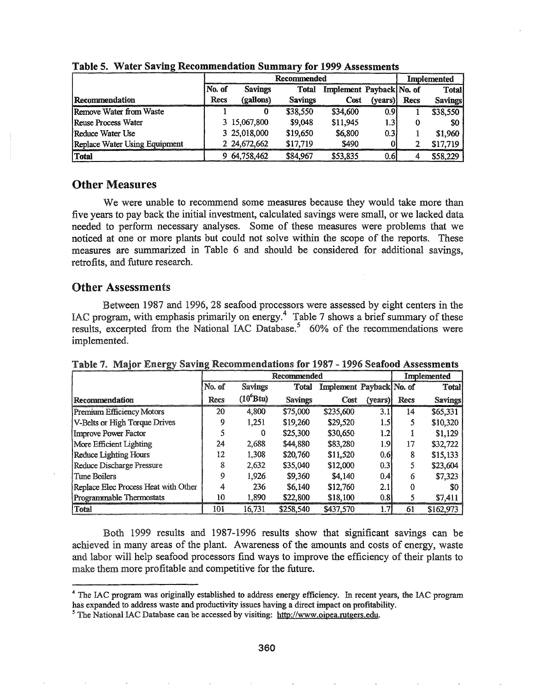|                               |        | Recommended    | <b>Implemented</b>                |          |                  |      |                |
|-------------------------------|--------|----------------|-----------------------------------|----------|------------------|------|----------------|
|                               | No. of | <b>Savings</b> | Implement Payback No. of<br>Total |          |                  |      | <b>Total</b>   |
| Recommendation                | Recs   | (gallons)      | <b>Savings</b>                    | Cost     | (years)          | Recs | <b>Savings</b> |
| Remove Water from Waste       |        |                | \$38,550                          | \$34,600 | 0.91             |      | \$38,550       |
| Reuse Process Water           |        | 3 15,067,800   | \$9,048                           | \$11,945 | 1.3              | 0    | -\$0           |
| Reduce Water Use              |        | 3 25,018,000   | \$19,650                          | \$6,800  | 0.3 <sub>1</sub> |      | \$1,960        |
| Replace Water Using Equipment |        | 2 24,672,662   | \$17,719                          | \$490    |                  |      | \$17,719       |
| Total                         |        | 9 64,758,462   | \$84,967                          | \$53,835 | 0.6              |      | \$58,229       |

Table 5. Water Saving Recommendation Summary for 1999 Assessments

## Other Measures

We were unable to recommend some measures because they would take more than five years to pay back the initial investment, calculated savings were small, or we lacked data needed to perform necessary analyses.. Some of these measures were problems that we noticed at one or more plants but could not solve within the scope of the reports. These measures are summarized in Table 6 and should be considered for additional savings, retrofits, and future research.

## Other Assessments

Between 1987 and 1996, 28 seafood processors were assessed by eight centers in the IAC program, with emphasis primarily on energy.<sup>4</sup> Table 7 shows a brief summary of these results, excerpted from the National IAC Database.<sup>5</sup> 60% of the recommendations were implemented.

|                                      |             | Recommended    | <b>Implemented</b> |                          |         |      |                |
|--------------------------------------|-------------|----------------|--------------------|--------------------------|---------|------|----------------|
|                                      | No. of      | <b>Savings</b> | Total              | Implement Payback No. of |         |      | Total          |
| Recommendation                       | Recs        | $(10^6$ Btu)   | <b>Savings</b>     | Cost                     | (years) | Recs | <b>Savings</b> |
| Premium Efficiency Motors            | 20          | 4.800          | \$75,000           | \$235,600                | 3.1     | 14   | \$65,331       |
| V-Belts or High Torque Drives        | 9           | 1,251          | \$19,260           | \$29,520                 | 1.5     | 5    | \$10,320       |
| Improve Power Factor                 |             | 0              | \$25,300           | \$30,650                 | 1.21    |      | \$1,129        |
| More Efficient Lighting              | 24          | 2,688          | \$44,880           | \$83,280                 | 1.9     | 17   | \$32,722       |
| <b>Reduce Lighting Hours</b>         | 12          | 1,308          | \$20,760           | \$11,520                 | 0.6!    | 8    | \$15,133       |
| Reduce Discharge Pressure            | 8           | 2,632          | \$35,040           | \$12,000                 | 0.3     |      | \$23,604       |
| Tune Boilers                         | $\mathbf Q$ | 1.926          | \$9,360            | \$4,140                  | 0.41    | 6    | \$7,323        |
| Replace Elec Process Heat with Other | 4           | 236            | \$6.140            | \$12,760                 | 2.1     | 0    | \$0            |
| Programmable Thermostats             | 10          | 1,890          | \$22,800           | \$18,100                 | 0.8     |      | \$7,411        |
| Total                                | 101         | 16,731         | \$258,540          | \$437,570                | 1.7     | 61   | \$162,973      |

Table 7. Major Energy Saving Recommendations for 1987 - 1996 Seafood Assessments

1999 results and 1987-1996 results show that significant savings can be achieved in many areas of the plant. Awareness of the amounts and costs of energy, waste and labor will help seafood processors find ways to improve the efficiency of their plants to make them more profitable and competitive for the future.

<sup>4</sup> The lAC program was originally established to address energy efficiency. In recent years, the IAC program has expanded to address waste and productivity issues having a direct impact on profitability.

<sup>&</sup>lt;sup>5</sup> The National IAC Database can be accessed by visiting: http://www.oipea.rutgers.edu.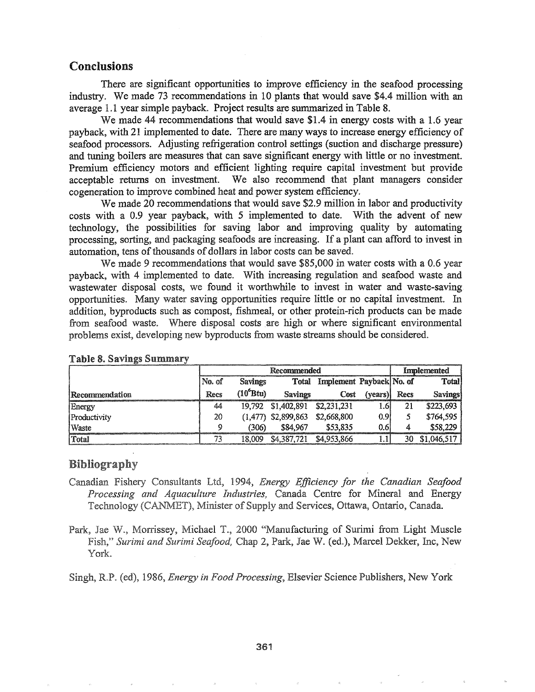## Conclusions

There are significant opportunities to improve efficiency in the seafood processing industry. We made 73 recommendations in 10 plants that would save \$4.4 million with an average 1.1 year simple payback. Project results are summarized in Table 8.

We made 44 recommendations that would save \$1.4 in energy costs with a 1.6 year payback, with 21 implemented to date. There are many ways to increase energy efficiency of seafood processors. Adjusting refrigeration control settings (suction and discharge pressure) and tuning boilers are measures that can save significant energy with little or no investment. Premium efficiency motors and efficient lighting require capital investment but provide acceptable returns on investment. We also recommend that plant managers consider cogeneration to improve combined heat and power system efficiency.

We made 20 recommendations that would save \$2.9 million in labor and productivity costs with a 0.9 year payback, with 5 implemented to date. With the advent of new technology, the possibilities for saving labor and improving quality by automating processing, sorting, and packaging seafoods are increasing. If a plant can afford to invest in automation, tens of thousands of dollars in labor costs can be saved.

We made 9 recommendations that would save  $$85,000$  in water costs with a 0.6 year payback, with 4 implemented to date. With increasing regulation and seafood waste and wastewater disposal costs, we found it worthwhile to invest in water and waste-saving. opportunities. Many water saving opportunities require little or no capital investment. In addition, byproducts such as compost, fishmeal, or other protein-rich products can be made from seafood waste. Where disposal costs are high or where significant environmental problems exist, developing new byproducts from waste streams should be considered.

|                |        | Recommended    | Implemented             |                          |         |      |             |
|----------------|--------|----------------|-------------------------|--------------------------|---------|------|-------------|
|                | No. of | <b>Savings</b> | Total                   | Implement Payback No. of |         |      | Total       |
| Recommendation | Recs   | $(10^6Btu)$    | <b>Savings</b>          | Cost                     | (vears) | Recs | Savings     |
| Energy         | 44     |                | 19,792 \$1,402,891      | \$2,231,231              | 1.61    | 21   | \$223,693   |
| Productivity   | 20     | (1.477)        | \$2,899,863             | \$2,668,800              | 0.91    |      | \$764,595   |
| Waste          | ٥      | ′306)          | \$84,967                | \$53,835                 | 0.65    | 4    | \$58,229    |
| Total          | 73     | 18.009         | \$4,387,721 \$4,953,866 |                          |         | 30   | \$1,046,517 |

#### Table Savings Summary

## Bibliography

- *Efficiency for the Canadian Seafood* Processing and Aquaculture Industries, Canada Centre for Mineral and Energy Technology (CANMET), Minister of Supply and Services, Ottawa, Ontario, Canada.
- Park, Jae W., Morrissey, Michael T., 2000 "Manufacturing of Surimi from Light Muscle Fish," Surimi and Surimi Seafood, Chap 2, Park, Jae W. (ed.), Marcel Dekker, Inc, New York.

(ed), 1986, *Energy in Food Processing,* Elsevier Science Publishers, New York